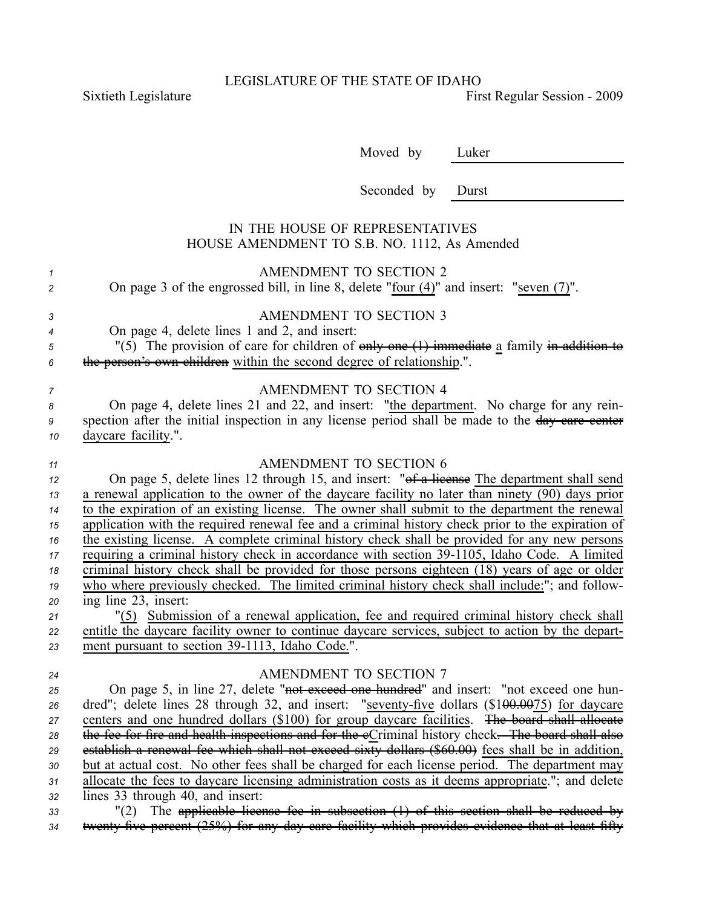LEGISLATURE OF THE STATE OF IDAHO

Sixtieth Legislature First Regular Session - 2009

Moved by Luker

Seconded by Durst

## IN THE HOUSE OF REPRESENTATIVES HOUSE AMENDMENT TO S.B. NO. 1112, As Amended

| 1<br>$\overline{c}$ | <b>AMENDMENT TO SECTION 2</b><br>On page 3 of the engrossed bill, in line 8, delete "four $(4)$ " and insert: "seven $(7)$ ".                                                                                                                                  |
|---------------------|----------------------------------------------------------------------------------------------------------------------------------------------------------------------------------------------------------------------------------------------------------------|
| 3<br>4<br>5<br>6    | <b>AMENDMENT TO SECTION 3</b><br>On page 4, delete lines 1 and 2, and insert:<br>"(5) The provision of care for children of $\theta$ only one $(1)$ immediate a family in addition to<br>the person's own children within the second degree of relationship.". |
| 7<br>8              | <b>AMENDMENT TO SECTION 4</b><br>On page 4, delete lines 21 and 22, and insert: "the department. No charge for any rein-                                                                                                                                       |
| 9<br>10             | spection after the initial inspection in any license period shall be made to the day care center<br>daycare facility.".                                                                                                                                        |
| 11                  | AMENDMENT TO SECTION 6                                                                                                                                                                                                                                         |
| 12                  | On page 5, delete lines 12 through 15, and insert: "of a lieense The department shall send                                                                                                                                                                     |
| 13                  | a renewal application to the owner of the daycare facility no later than ninety (90) days prior                                                                                                                                                                |
| 14                  | to the expiration of an existing license. The owner shall submit to the department the renewal                                                                                                                                                                 |
| 15                  | application with the required renewal fee and a criminal history check prior to the expiration of                                                                                                                                                              |
| 16                  | the existing license. A complete criminal history check shall be provided for any new persons                                                                                                                                                                  |
| $17\,$              | requiring a criminal history check in accordance with section 39-1105, Idaho Code. A limited                                                                                                                                                                   |
| 18                  | criminal history check shall be provided for those persons eighteen (18) years of age or older                                                                                                                                                                 |
| 19                  | who where previously checked. The limited criminal history check shall include:"; and follow-                                                                                                                                                                  |
| 20                  | ing line 23, insert:                                                                                                                                                                                                                                           |
| 21                  | "(5) Submission of a renewal application, fee and required criminal history check shall                                                                                                                                                                        |
| 22                  | entitle the daycare facility owner to continue daycare services, subject to action by the depart-                                                                                                                                                              |
| 23                  | ment pursuant to section 39-1113, Idaho Code.".                                                                                                                                                                                                                |
| 24                  | AMENDMENT TO SECTION 7                                                                                                                                                                                                                                         |
| 25                  | On page 5, in line 27, delete "not exceed one hundred" and insert: "not exceed one hun-                                                                                                                                                                        |
| 26                  | dred"; delete lines 28 through 32, and insert: "seventy-five dollars (\$1 <del>00.0075)</del> for daycare                                                                                                                                                      |
| 27                  | centers and one hundred dollars (\$100) for group daycare facilities. The board shall allocate                                                                                                                                                                 |
| 28                  | the fee for fire and health inspections and for the eCriminal history check. The board shall also                                                                                                                                                              |
| 29                  | establish a renewal fee which shall not exceed sixty dollars (\$60.00) fees shall be in addition,                                                                                                                                                              |
| 30                  | but at actual cost. No other fees shall be charged for each license period. The department may                                                                                                                                                                 |
| 31                  | allocate the fees to daycare licensing administration costs as it deems appropriate."; and delete                                                                                                                                                              |
| 32                  | lines 33 through 40, and insert:                                                                                                                                                                                                                               |
| 33                  | "(2) The applicable license fee in subsection (1) of this section shall be reduced by                                                                                                                                                                          |
| 34                  | twenty five percent (25%) for any day care facility which provides evidence that at least fifty                                                                                                                                                                |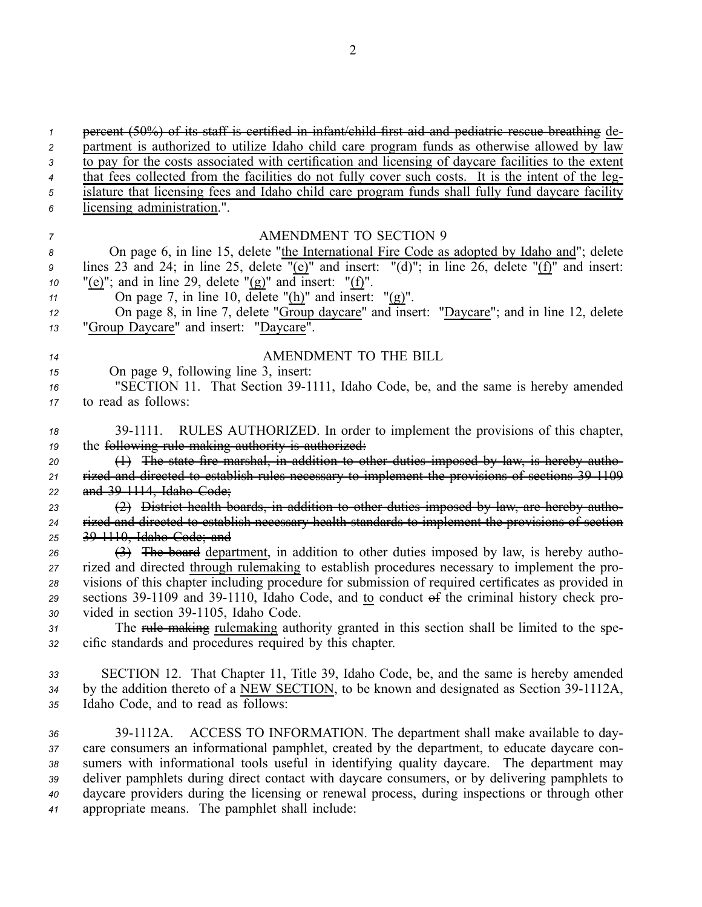| $\mathbf{1}$                     | percent (50%) of its staff is certified in infant/child first aid and pediatric rescue breathing de-                                                                                                                                                                                                                                                                                                                                                                                                                              |
|----------------------------------|-----------------------------------------------------------------------------------------------------------------------------------------------------------------------------------------------------------------------------------------------------------------------------------------------------------------------------------------------------------------------------------------------------------------------------------------------------------------------------------------------------------------------------------|
| $\overline{c}$                   | partment is authorized to utilize Idaho child care program funds as otherwise allowed by law                                                                                                                                                                                                                                                                                                                                                                                                                                      |
| 3                                | to pay for the costs associated with certification and licensing of daycare facilities to the extent                                                                                                                                                                                                                                                                                                                                                                                                                              |
| $\overline{4}$                   | that fees collected from the facilities do not fully cover such costs. It is the intent of the leg-                                                                                                                                                                                                                                                                                                                                                                                                                               |
| 5                                | islature that licensing fees and Idaho child care program funds shall fully fund daycare facility                                                                                                                                                                                                                                                                                                                                                                                                                                 |
| 6                                | licensing administration.".                                                                                                                                                                                                                                                                                                                                                                                                                                                                                                       |
| $\overline{7}$                   | <b>AMENDMENT TO SECTION 9</b>                                                                                                                                                                                                                                                                                                                                                                                                                                                                                                     |
| 8                                | On page 6, in line 15, delete "the International Fire Code as adopted by Idaho and"; delete                                                                                                                                                                                                                                                                                                                                                                                                                                       |
| 9                                | lines 23 and 24; in line 25, delete " $(e)$ " and insert: "(d)"; in line 26, delete " $(f)$ " and insert:                                                                                                                                                                                                                                                                                                                                                                                                                         |
| 10                               | "(e)"; and in line 29, delete " $(g)$ " and insert: " $(f)$ ".                                                                                                                                                                                                                                                                                                                                                                                                                                                                    |
| 11                               | On page 7, in line 10, delete " $(h)$ " and insert: " $(g)$ ".                                                                                                                                                                                                                                                                                                                                                                                                                                                                    |
| 12                               | On page 8, in line 7, delete "Group daycare" and insert: "Daycare"; and in line 12, delete                                                                                                                                                                                                                                                                                                                                                                                                                                        |
| 13                               | "Group Daycare" and insert: "Daycare".                                                                                                                                                                                                                                                                                                                                                                                                                                                                                            |
| 14                               | AMENDMENT TO THE BILL                                                                                                                                                                                                                                                                                                                                                                                                                                                                                                             |
| 15                               | On page 9, following line 3, insert:                                                                                                                                                                                                                                                                                                                                                                                                                                                                                              |
| 16                               | "SECTION 11. That Section 39-1111, Idaho Code, be, and the same is hereby amended                                                                                                                                                                                                                                                                                                                                                                                                                                                 |
| 17                               | to read as follows:                                                                                                                                                                                                                                                                                                                                                                                                                                                                                                               |
| 18                               | 39-1111. RULES AUTHORIZED. In order to implement the provisions of this chapter,                                                                                                                                                                                                                                                                                                                                                                                                                                                  |
| 19                               | the following rule making authority is authorized.                                                                                                                                                                                                                                                                                                                                                                                                                                                                                |
| 20                               | $(1)$ The state fire marshal, in addition to other duties imposed by law, is hereby autho-                                                                                                                                                                                                                                                                                                                                                                                                                                        |
| 21                               | rized and directed to establish rules necessary to implement the provisions of sections 39 1109                                                                                                                                                                                                                                                                                                                                                                                                                                   |
| 22                               | and 39 1114, Idaho Code;                                                                                                                                                                                                                                                                                                                                                                                                                                                                                                          |
| 23                               | (2) District health boards, in addition to other duties imposed by law, are hereby autho-                                                                                                                                                                                                                                                                                                                                                                                                                                         |
| 24                               | rized and directed to establish necessary health standards to implement the provisions of section                                                                                                                                                                                                                                                                                                                                                                                                                                 |
| 25                               | 39 1110, Idaho Code; and                                                                                                                                                                                                                                                                                                                                                                                                                                                                                                          |
| 26                               | (3) The board department, in addition to other duties imposed by law, is hereby autho-                                                                                                                                                                                                                                                                                                                                                                                                                                            |
| 27                               | rized and directed through rulemaking to establish procedures necessary to implement the pro-                                                                                                                                                                                                                                                                                                                                                                                                                                     |
| 28                               | visions of this chapter including procedure for submission of required certificates as provided in                                                                                                                                                                                                                                                                                                                                                                                                                                |
| 29                               | sections 39-1109 and 39-1110, Idaho Code, and to conduct of the criminal history check pro-                                                                                                                                                                                                                                                                                                                                                                                                                                       |
| 30                               | vided in section 39-1105, Idaho Code.                                                                                                                                                                                                                                                                                                                                                                                                                                                                                             |
| 31                               | The rule making rulemaking authority granted in this section shall be limited to the spe-                                                                                                                                                                                                                                                                                                                                                                                                                                         |
| 32                               | cific standards and procedures required by this chapter.                                                                                                                                                                                                                                                                                                                                                                                                                                                                          |
| 33                               | SECTION 12. That Chapter 11, Title 39, Idaho Code, be, and the same is hereby amended                                                                                                                                                                                                                                                                                                                                                                                                                                             |
| 34                               | by the addition thereto of a NEW SECTION, to be known and designated as Section 39-1112A,                                                                                                                                                                                                                                                                                                                                                                                                                                         |
| 35                               | Idaho Code, and to read as follows:                                                                                                                                                                                                                                                                                                                                                                                                                                                                                               |
| 36<br>37<br>38<br>39<br>40<br>41 | ACCESS TO INFORMATION. The department shall make available to day-<br>39-1112A.<br>care consumers an informational pamphlet, created by the department, to educate daycare con-<br>sumers with informational tools useful in identifying quality daycare. The department may<br>deliver pamphlets during direct contact with daycare consumers, or by delivering pamphlets to<br>daycare providers during the licensing or renewal process, during inspections or through other<br>appropriate means. The pamphlet shall include: |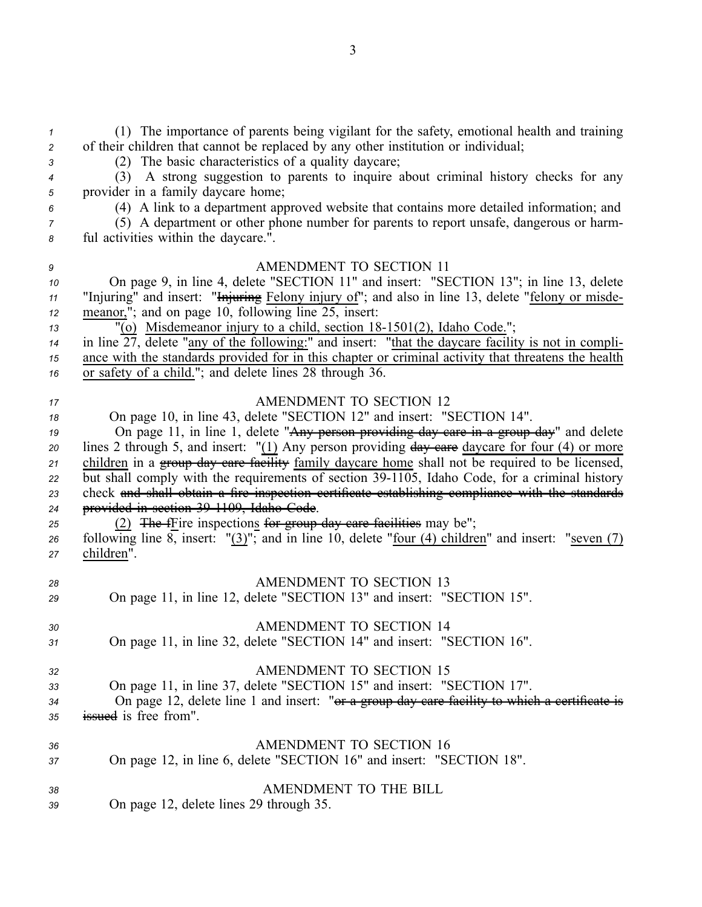(1) The importance of parents being vigilant for the safety, emotional health and training of their children that cannot be replaced by any other institution or individual; (2) The basic characteristics of <sup>a</sup> quality daycare; (3) A strong suggestion to parents to inquire about criminal history checks for any provider in <sup>a</sup> family daycare home; (4) A link to <sup>a</sup> department approved website that contains more detailed information; and (5) A department or other phone number for parents to repor<sup>t</sup> unsafe, dangerous or harm- ful activities within the daycare.". AMENDMENT TO SECTION 11 On page 9, in line 4, delete "SECTION 11" and insert: "SECTION 13"; in line 13, delete "Injuring" and insert: "Injuring Felony injury of"; and also in line 13, delete "felony or misde- meanor,"; and on page 10, following line 25, insert: <sup>13</sup> "(o) Misdemeanor injury to a child, section 18-1501(2), Idaho Code."; in line  $\overline{27}$ , delete "any of the following:" and insert: "that the daycare facility is not in compli- ance with the standards provided for in this chapter or criminal activity that threatens the health or safety of <sup>a</sup> child."; and delete lines 28 through 36. AMENDMENT TO SECTION 12 On page 10, in line 43, delete "SECTION 12" and insert: "SECTION 14". On page 11, in line 1, delete "Any person providing day care in <sup>a</sup> group day" and delete lines 2 through 5, and insert: "(1) Any person providing  $\frac{day}{dx}$  care daycare for four (4) or more 21 children in a group day care facility family daycare home shall not be required to be licensed, 22 but shall comply with the requirements of section 39-1105, Idaho Code, for a criminal history check and shall obtain <sup>a</sup> fire inspection certificate establishing compliance with the standards provided in section 391109, Idaho Code. 25 (2) The fFire inspections for group day care facilities may be"; following line 8, insert: "(3)"; and in line 10, delete "four (4) children" and insert: "seven (7) children". AMENDMENT TO SECTION 13 On page 11, in line 12, delete "SECTION 13" and insert: "SECTION 15". AMENDMENT TO SECTION 14 On page 11, in line 32, delete "SECTION 14" and insert: "SECTION 16". AMENDMENT TO SECTION 15 On page 11, in line 37, delete "SECTION 15" and insert: "SECTION 17". On page 12, delete line 1 and insert: "or <sup>a</sup> group day care facility to which <sup>a</sup> certificate is issued is free from". AMENDMENT TO SECTION 16 On page 12, in line 6, delete "SECTION 16" and insert: "SECTION 18". AMENDMENT TO THE BILL On page 12, delete lines 29 through 35.

3